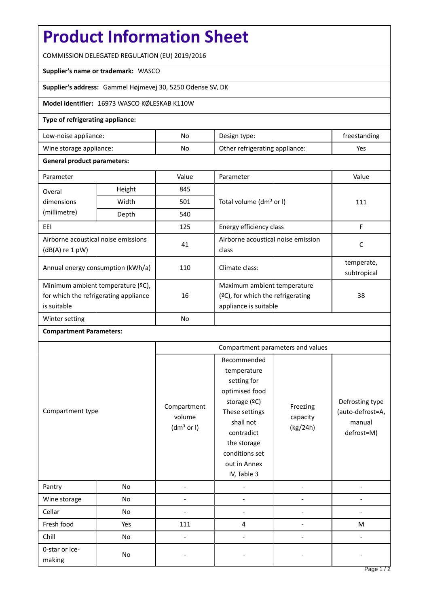# **Product Information Sheet**

COMMISSION DELEGATED REGULATION (EU) 2019/2016

## **Supplier's name or trademark:** WASCO

**Supplier's address:** Gammel Højmevej 30, 5250 Odense SV, DK

## **Model identifier:** 16973 WASCO KØLESKAB K110W

## **Type of refrigerating appliance:**

| Low-noise appliance:    | No | Design type:                   | treestanding |
|-------------------------|----|--------------------------------|--------------|
| Wine storage appliance: | No | Other refrigerating appliance: | Yes          |

#### **General product parameters:**

| Parameter                                                                                 |        | Value     | Parameter                                                                                    | Value                     |
|-------------------------------------------------------------------------------------------|--------|-----------|----------------------------------------------------------------------------------------------|---------------------------|
| Overal                                                                                    | Height | 845       |                                                                                              | 111                       |
| dimensions<br>(millimetre)                                                                | Width  | 501       | Total volume (dm <sup>3</sup> or I)                                                          |                           |
|                                                                                           | Depth  | 540       |                                                                                              |                           |
| EEI                                                                                       |        | 125       | Energy efficiency class                                                                      | F                         |
| Airborne acoustical noise emissions<br>$(dB(A)$ re 1 pW)                                  |        | 41        | Airborne acoustical noise emission<br>class                                                  | C                         |
| Annual energy consumption (kWh/a)                                                         |        | 110       | Climate class:                                                                               | temperate,<br>subtropical |
| Minimum ambient temperature (°C),<br>for which the refrigerating appliance<br>is suitable |        | 16        | Maximum ambient temperature<br>$(2C)$ , for which the refrigerating<br>appliance is suitable | 38                        |
| Winter setting                                                                            |        | <b>No</b> |                                                                                              |                           |

## **Compartment Parameters:**

| Compartment type         |     | Compartment parameters and values               |                                                                                                                                                                                          |                                  |                                                             |
|--------------------------|-----|-------------------------------------------------|------------------------------------------------------------------------------------------------------------------------------------------------------------------------------------------|----------------------------------|-------------------------------------------------------------|
|                          |     | Compartment<br>volume<br>(dm <sup>3</sup> or I) | Recommended<br>temperature<br>setting for<br>optimised food<br>storage (°C)<br>These settings<br>shall not<br>contradict<br>the storage<br>conditions set<br>out in Annex<br>IV, Table 3 | Freezing<br>capacity<br>(kg/24h) | Defrosting type<br>(auto-defrost=A,<br>manual<br>defrost=M) |
| Pantry                   | No  |                                                 |                                                                                                                                                                                          |                                  |                                                             |
| Wine storage             | No  |                                                 |                                                                                                                                                                                          |                                  |                                                             |
| Cellar                   | No  |                                                 |                                                                                                                                                                                          |                                  |                                                             |
| Fresh food               | Yes | 111                                             | 4                                                                                                                                                                                        |                                  | M                                                           |
| Chill                    | No  |                                                 |                                                                                                                                                                                          |                                  |                                                             |
| 0-star or ice-<br>making | No  |                                                 |                                                                                                                                                                                          |                                  |                                                             |